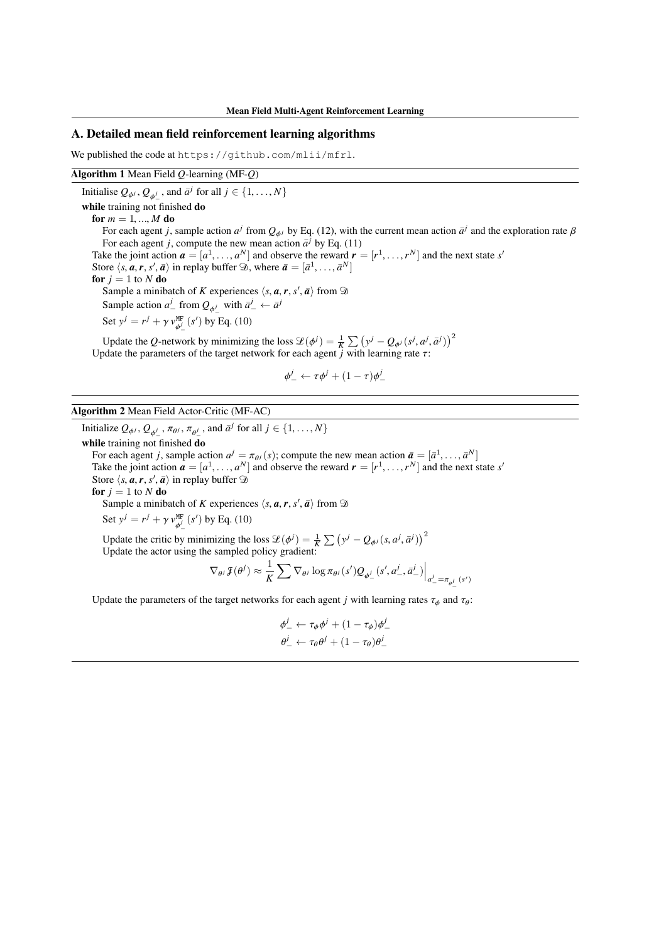#### A. Detailed mean field reinforcement learning algorithms

We published the code at https://github.com/mlii/mfrl.

#### Algorithm 1 Mean Field *Q*-learning (MF-*Q*)

Initialise  $Q_{\phi^j}$ ,  $Q_{\phi^j}$ , and  $\bar{a}^j$  for all  $j \in \{1, ..., N\}$ while training not finished do for  $m = 1, ..., M$  do For each agent *j*, sample action  $a^j$  from  $Q_{\phi j}$  by Eq. (12), with the current mean action  $\bar{a}^j$  and the exploration rate  $\beta$ For each agent *j*, compute the new mean action  $\bar{a}^j$  by Eq. (11) Take the joint action  $\mathbf{a} = [a^1, \ldots, a^N]$  and observe the reward  $\mathbf{r} = [r^1, \ldots, r^N]$  and the next state *s'* Store  $\langle s, a, r, s', \bar{a} \rangle$  in replay buffer  $\mathcal{D}$ , where  $\bar{a} = [\bar{a}^1, \ldots, \bar{a}^N]$ for  $j = 1$  to  $N$  do Sample a minibatch of *K* experiences  $\langle s, a, r, s', \overline{a} \rangle$  from  $\mathcal{D}$ Sample action  $a^j$  from  $Q_{\phi^j}$  with  $\bar{a}^j$   $\leftarrow \bar{a}^j$ Set  $y^j = r^j + \gamma v_{\phi}^{\text{MF}}(s')$  by Eq. (10) Update the *Q*-network by minimizing the loss  $\mathcal{L}(\phi^j) = \frac{1}{K} \sum_j (y^j - Q_{\phi^j}(s^j, a^j, \bar{a}^j))^2$ 

Update the parameters of the target network for each agent  $j$  with learning rate  $\tau$ :

$$
\phi^j_-\leftarrow \tau\phi^j+(1-\tau)\phi^j_-
$$

Algorithm 2 Mean Field Actor-Critic (MF-AC)

Initialize  $Q_{\phi^j}$ ,  $Q_{\phi^j}$ ,  $\pi_{\theta^j}$ ,  $\pi_{\theta^j}$ , and  $\bar{a}^j$  for all  $j \in \{1, \ldots, N\}$ while training not finished do For each agent *j*, sample action  $a^j = \pi_{\theta^j}(s)$ ; compute the new mean action  $\bar{a} = [\bar{a}^1, \ldots, \bar{a}^N]$ Take the joint action  $\mathbf{a} = [a^1, \ldots, a^N]$  and observe the reward  $\mathbf{r} = [r^1, \ldots, r^N]$  and the next state *s'* Store  $\langle s, a, r, s', \bar{a} \rangle$  in replay buffer  $\mathcal{D}$ for  $j = 1$  to  $N$  do

Sample a minibatch of *K* experiences  $\langle s, a, r, s', \overline{a} \rangle$  from  $\mathcal{D}$ 

Set  $y^j = r^j + \gamma v_{\phi^j}^{\text{MF}}(s^{\prime})$  by Eq. (10)

Update the critic by minimizing the loss  $\mathcal{L}(\phi^j) = \frac{1}{K} \sum_{j} (y^j - Q_{\phi^j}(s, a^j, \bar{a}^j))^2$ Update the actor using the sampled policy gradient:

$$
\nabla_{\theta^j} \mathcal{J}(\theta^j) \approx \frac{1}{K} \sum \nabla_{\theta^j} \log \pi_{\theta^j}(s') Q_{\phi^j_{-}}(s', a^j_{-}, \bar{a}^j_{-}) \Big|_{a^j_{-} = \pi_{\theta^j_{-}}(s')}
$$

Update the parameters of the target networks for each agent *j* with learning rates  $\tau_{\phi}$  and  $\tau_{\theta}$ :

$$
\begin{aligned}\n\phi_-^j &\leftarrow \tau_\phi \phi^j + (1 - \tau_\phi) \phi_-^j \\
\theta_-^j &\leftarrow \tau_\theta \theta^j + (1 - \tau_\theta) \theta_-^j\n\end{aligned}
$$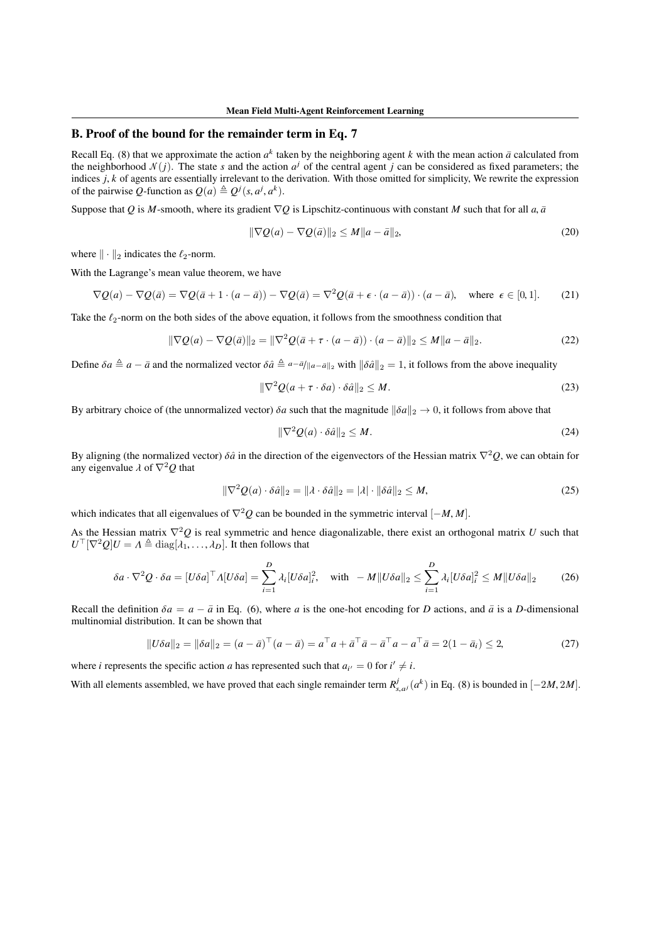# B. Proof of the bound for the remainder term in Eq. 7

Recall Eq. (8) that we approximate the action  $a^k$  taken by the neighboring agent k with the mean action  $\bar{a}$  calculated from the neighborhood  $\mathcal{N}(i)$ . The state *s* and the action  $a^j$  of the central agent *j* can be considered as fixed parameters; the indices *j*, *k* of agents are essentially irrelevant to the derivation. With those omitted for simplicity, We rewrite the expression of the pairwise Q-function as  $Q(a) \triangleq Q^{j}(s, a^{j}, a^{k}).$ 

Suppose that *Q* is *M*-smooth, where its gradient  $\nabla Q$  is Lipschitz-continuous with constant *M* such that for all *a*,  $\bar{a}$ 

$$
\|\nabla Q(a) - \nabla Q(\bar{a})\|_2 \le M\|a - \bar{a}\|_2,\tag{20}
$$

where  $\|\cdot\|_2$  indicates the  $\ell_2$ -norm.

With the Lagrange's mean value theorem, we have

$$
\nabla Q(a) - \nabla Q(\bar{a}) = \nabla Q(\bar{a} + 1 \cdot (a - \bar{a})) - \nabla Q(\bar{a}) = \nabla^2 Q(\bar{a} + \epsilon \cdot (a - \bar{a})) \cdot (a - \bar{a}), \text{ where } \epsilon \in [0, 1]. \tag{21}
$$

Take the  $\ell_2$ -norm on the both sides of the above equation, it follows from the smoothness condition that

$$
\|\nabla Q(a) - \nabla Q(\bar{a})\|_2 = \|\nabla^2 Q(\bar{a} + \tau \cdot (a - \bar{a})) \cdot (a - \bar{a})\|_2 \le M \|a - \bar{a}\|_2.
$$
 (22)

Define  $\delta a \triangleq a - \bar{a}$  and the normalized vector  $\delta \hat{a} \triangleq a - \bar{a} \parallel a - \bar{a} \parallel_2$  with  $\|\delta \hat{a}\|_2 = 1$ , it follows from the above inequality

$$
\|\nabla^2 Q(a + \tau \cdot \delta a) \cdot \delta \hat{a}\|_2 \le M. \tag{23}
$$

By arbitrary choice of (the unnormalized vector)  $\delta a$  such that the magnitude  $\|\delta a\|_2 \to 0$ , it follows from above that

$$
\|\nabla^2 Q(a) \cdot \delta \hat{a}\|_2 \le M. \tag{24}
$$

By aligning (the normalized vector)  $\delta \hat{a}$  in the direction of the eigenvectors of the Hessian matrix  $\nabla^2 Q$ , we can obtain for any eigenvalue  $\lambda$  of  $\nabla^2 Q$  that

$$
\|\nabla^2 Q(a) \cdot \delta \hat{a}\|_2 = \|\lambda \cdot \delta \hat{a}\|_2 = |\lambda| \cdot \|\delta \hat{a}\|_2 \le M,\tag{25}
$$

which indicates that all eigenvalues of  $\nabla^2 Q$  can be bounded in the symmetric interval  $[-M, M]$ .

As the Hessian matrix  $\nabla^2 Q$  is real symmetric and hence diagonalizable, there exist an orthogonal matrix *U* such that  $U^{\top}[\nabla^2 Q]U = \Lambda \triangleq \text{diag}[\overline{\lambda_1}, \ldots, \lambda_D].$  It then follows that

$$
\delta a \cdot \nabla^2 Q \cdot \delta a = [U\delta a]^\top \Lambda [U\delta a] = \sum_{i=1}^D \lambda_i [U\delta a]_i^2, \quad \text{with} \quad -M \|U\delta a\|_2 \le \sum_{i=1}^D \lambda_i [U\delta a]_i^2 \le M \|U\delta a\|_2 \tag{26}
$$

Recall the definition  $\delta a = a - \bar{a}$  in Eq. (6), where *a* is the one-hot encoding for *D* actions, and  $\bar{a}$  is a *D*-dimensional multinomial distribution. It can be shown that

$$
||U\delta a||_2 = ||\delta a||_2 = (a - \bar{a})^\top (a - \bar{a}) = a^\top a + \bar{a}^\top \bar{a} - \bar{a}^\top a - a^\top \bar{a} = 2(1 - \bar{a}_i) \le 2,
$$
\n(27)

where *i* represents the specific action *a* has represented such that  $a_{i'} = 0$  for  $i' \neq i$ .

With all elements assembled, we have proved that each single remainder term  $R_{s,a}^j$  ( $a^k$ ) in Eq. (8) is bounded in  $[-2M, 2M]$ .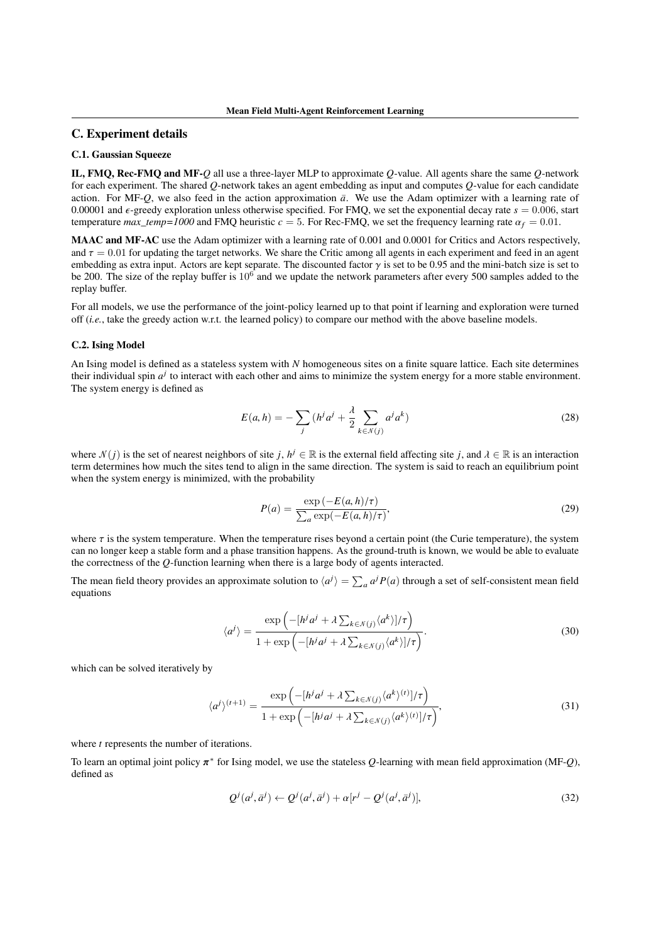### C. Experiment details

## C.1. Gaussian Squeeze

IL, FMQ, Rec-FMQ and MF-*Q* all use a three-layer MLP to approximate *Q*-value. All agents share the same *Q*-network for each experiment. The shared *Q*-network takes an agent embedding as input and computes *Q*-value for each candidate action. For MF-*Q*, we also feed in the action approximation  $\bar{a}$ . We use the Adam optimizer with a learning rate of 0.00001 and  $\epsilon$ -greedy exploration unless otherwise specified. For FMQ, we set the exponential decay rate  $s = 0.006$ , start temperature *max\_temp=1000* and FMQ heuristic  $c = 5$ . For Rec-FMQ, we set the frequency learning rate  $\alpha_f = 0.01$ .

MAAC and MF-AC use the Adam optimizer with a learning rate of 0.001 and 0.0001 for Critics and Actors respectively, and  $\tau = 0.01$  for updating the target networks. We share the Critic among all agents in each experiment and feed in an agent embedding as extra input. Actors are kept separate. The discounted factor  $\gamma$  is set to be 0.95 and the mini-batch size is set to be 200. The size of the replay buffer is  $10^6$  and we update the network parameters after every 500 samples added to the replay buffer.

For all models, we use the performance of the joint-policy learned up to that point if learning and exploration were turned off (*i.e.*, take the greedy action w.r.t. the learned policy) to compare our method with the above baseline models.

#### C.2. Ising Model

An Ising model is defined as a stateless system with *N* homogeneous sites on a finite square lattice. Each site determines their individual spin  $a^j$  to interact with each other and aims to minimize the system energy for a more stable environment. The system energy is defined as

$$
E(a, h) = -\sum_{j} (h^{j} a^{j} + \frac{\lambda}{2} \sum_{k \in \mathcal{N}(j)} a^{j} a^{k})
$$
 (28)

where  $\mathcal{N}(j)$  is the set of nearest neighbors of site *j*,  $h^j \in \mathbb{R}$  is the external field affecting site *j*, and  $\lambda \in \mathbb{R}$  is an interaction term determines how much the sites tend to align in the same direction. The system is said to reach an equilibrium point when the system energy is minimized, with the probability

$$
P(a) = \frac{\exp\left(-E(a, h)/\tau\right)}{\sum_{a} \exp\left(-E(a, h)/\tau\right)},\tag{29}
$$

where  $\tau$  is the system temperature. When the temperature rises beyond a certain point (the Curie temperature), the system can no longer keep a stable form and a phase transition happens. As the ground-truth is known, we would be able to evaluate the correctness of the *Q*-function learning when there is a large body of agents interacted.

The mean field theory provides an approximate solution to  $\langle a^j \rangle = \sum_a a^j P(a)$  through a set of self-consistent mean field equations

$$
\langle a^j \rangle = \frac{\exp\left(-[h^j a^j + \lambda \sum_{k \in \mathcal{N}(j)} \langle a^k \rangle]/\tau\right)}{1 + \exp\left(-[h^j a^j + \lambda \sum_{k \in \mathcal{N}(j)} \langle a^k \rangle]/\tau\right)}.
$$
\n(30)

which can be solved iteratively by

$$
\langle a^j \rangle^{(t+1)} = \frac{\exp\left(-[h^j a^j + \lambda \sum_{k \in \mathcal{N}(j)} \langle a^k \rangle^{(t)}]/\tau\right)}{1 + \exp\left(-[h^j a^j + \lambda \sum_{k \in \mathcal{N}(j)} \langle a^k \rangle^{(t)}]/\tau\right)},\tag{31}
$$

where *t* represents the number of iterations.

To learn an optimal joint policy  $\pi^*$  for Ising model, we use the stateless *Q*-learning with mean field approximation (MF-*Q*), defined as

$$
Q^{j}(a^{j}, \bar{a}^{j}) \leftarrow Q^{j}(a^{j}, \bar{a}^{j}) + \alpha[r^{j} - Q^{j}(a^{j}, \bar{a}^{j})],
$$
\n(32)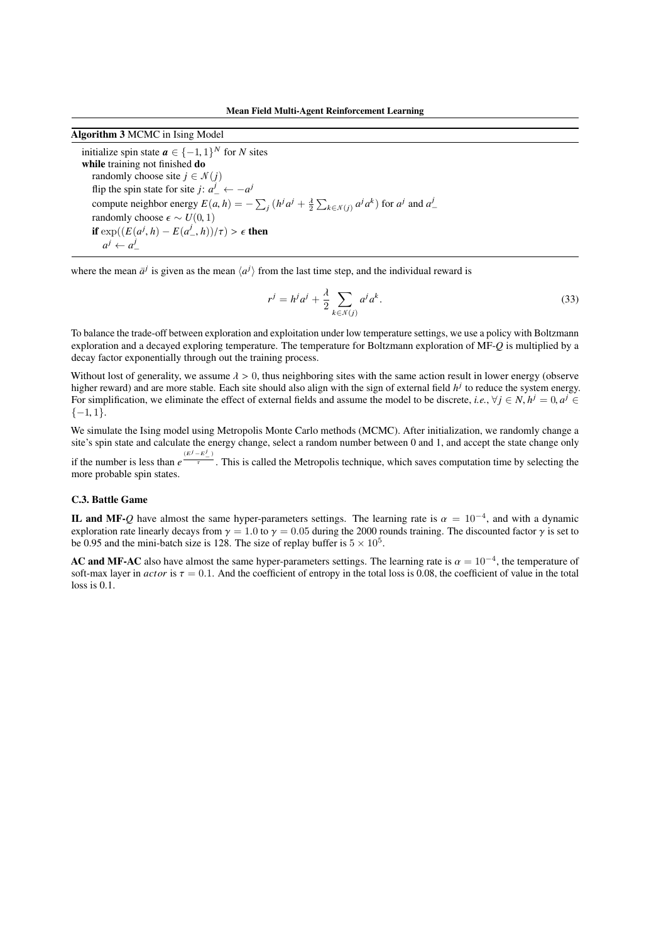Algorithm 3 MCMC in Ising Model

initialize spin state  $a \in \{-1, 1\}^N$  for *N* sites while training not finished do randomly choose site  $j \in \mathcal{N}(j)$ flip the spin state for site *j*:  $a^j_+ \leftarrow -a^j$ compute neighbor energy  $E(a, h) = -\sum_j (h^j a^j + \frac{\lambda}{2} \sum_{k \in \mathcal{N}(j)} a^j a^k)$  for  $a^j$  and  $a^j$ randomly choose  $\epsilon \sim U(0, 1)$ if  $\exp((E(a^j, h) - E(a^j_-, h))/\tau) > \epsilon$  then  $a^j \leftarrow a^j$ Ξ

where the mean  $\bar{a}^j$  is given as the mean  $\langle a^j \rangle$  from the last time step, and the individual reward is

$$
r^j = h^j a^j + \frac{\lambda}{2} \sum_{k \in \mathcal{N}(j)} a^j a^k.
$$
 (33)

To balance the trade-off between exploration and exploitation under low temperature settings, we use a policy with Boltzmann exploration and a decayed exploring temperature. The temperature for Boltzmann exploration of MF-*Q* is multiplied by a decay factor exponentially through out the training process.

Without lost of generality, we assume  $\lambda > 0$ , thus neighboring sites with the same action result in lower energy (observe higher reward) and are more stable. Each site should also align with the sign of external field  $h<sup>j</sup>$  to reduce the system energy. For simplification, we eliminate the effect of external fields and assume the model to be discrete, *i.e.*,  $\forall j \in N$ ,  $h^j = 0$ ,  $a^j \in$ *{*1, 1*}*.

We simulate the Ising model using Metropolis Monte Carlo methods (MCMC). After initialization, we randomly change a site's spin state and calculate the energy change, select a random number between 0 and 1, and accept the state change only

if the number is less than  $e^{\frac{(E^j - E^j)}{\tau}}$ . This is called the Metropolis technique, which saves computation time by selecting the more probable spin states.

### C.3. Battle Game

IL and MF-*Q* have almost the same hyper-parameters settings. The learning rate is  $\alpha = 10^{-4}$ , and with a dynamic exploration rate linearly decays from  $\gamma = 1.0$  to  $\gamma = 0.05$  during the 2000 rounds training. The discounted factor  $\gamma$  is set to be 0.95 and the mini-batch size is 128. The size of replay buffer is  $5 \times 10^5$ .

AC and MF-AC also have almost the same hyper-parameters settings. The learning rate is  $\alpha = 10^{-4}$ , the temperature of soft-max layer in *actor* is  $\tau = 0.1$ . And the coefficient of entropy in the total loss is 0.08, the coefficient of value in the total loss is 0.1.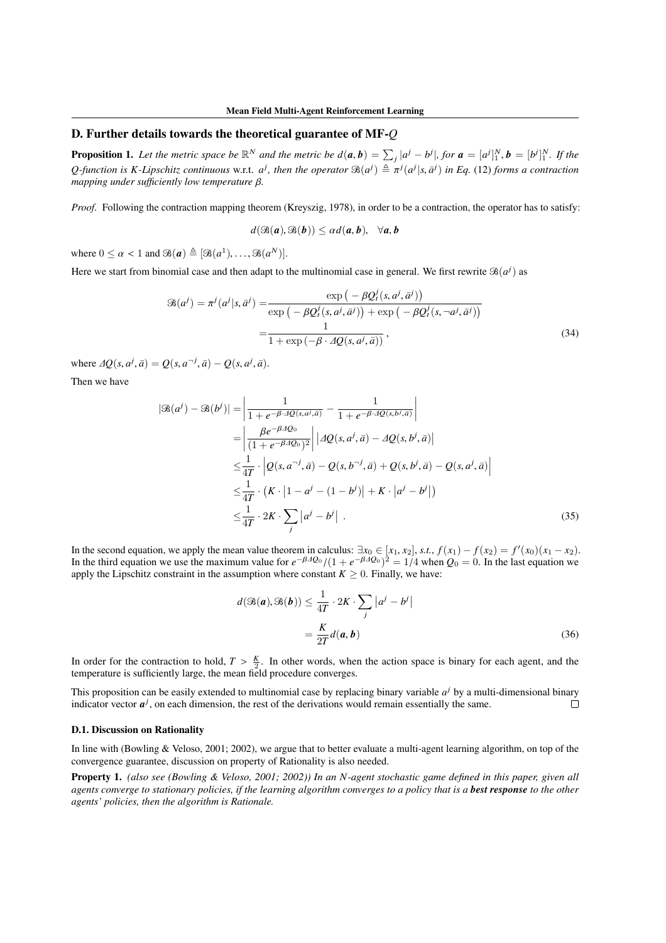# D. Further details towards the theoretical guarantee of MF-*Q*

**Proposition 1.** Let the metric space be  $\mathbb{R}^N$  and the metric be  $d(a, b) = \sum_j |a^j - b^j|$ , for  $a = [a^j]_1^N$ ,  $b = [b^j]_1^N$ . If the *Q*-function is *K*-Lipschitz continuous w.r.t.  $a^j$ , then the operator  $\Re(a^j) \triangleq \pi^j(a^j|s, \bar{a}^j)$  in Eq. (12) forms a contraction *mapping under sufficiently low temperature*  $\beta$ *.* 

*Proof.* Following the contraction mapping theorem (Kreyszig, 1978), in order to be a contraction, the operator has to satisfy:

$$
d(\mathfrak{B}(a),\mathfrak{B}(b))\leq \alpha d(a,b), \quad \forall a,b
$$

where  $0 \le \alpha < 1$  and  $\mathcal{B}(\boldsymbol{a}) \triangleq [\mathcal{B}(a^1), \ldots, \mathcal{B}(a^N)].$ 

Here we start from binomial case and then adapt to the multinomial case in general. We first rewrite  $\mathcal{B}(a^j)$  as

$$
\mathcal{B}(a^j) = \pi^j(a^j|s,\bar{a}^j) = \frac{\exp\left(-\beta Q_t^j(s,a^j,\bar{a}^j)\right)}{\exp\left(-\beta Q_t^j(s,a^j,\bar{a}^j)\right) + \exp\left(-\beta Q_t^j(s,-a^j,\bar{a}^j)\right)}
$$

$$
= \frac{1}{1 + \exp\left(-\beta \cdot 4Q(s,a^j,\bar{a})\right)},\tag{34}
$$

where  $\Delta Q(s, a^j, \bar{a}) = Q(s, a^{-j}, \bar{a}) - Q(s, a^j, \bar{a}).$ 

Then we have

$$
|\mathcal{B}(a^{j}) - \mathcal{B}(b^{j})| = \left| \frac{1}{1 + e^{-\beta \cdot 4Q(s, a^{j}, \vec{a})}} - \frac{1}{1 + e^{-\beta \cdot 4Q(s, b^{j}, \vec{a})}} \right|
$$
  
\n
$$
= \left| \frac{\beta e^{-\beta \cdot 4Q_0}}{(1 + e^{-\beta \cdot 4Q_0})^2} \right| |AQ(s, a^{j}, \vec{a}) - AQ(s, b^{j}, \vec{a})|
$$
  
\n
$$
\leq \frac{1}{4T} \cdot |Q(s, a^{-j}, \vec{a}) - Q(s, b^{-j}, \vec{a}) + Q(s, b^{j}, \vec{a}) - Q(s, a^{j}, \vec{a})|
$$
  
\n
$$
\leq \frac{1}{4T} \cdot (K \cdot |1 - a^{j} - (1 - b^{j})| + K \cdot |a^{j} - b^{j}|)
$$
  
\n
$$
\leq \frac{1}{4T} \cdot 2K \cdot \sum_{j} |a^{j} - b^{j}| .
$$
\n(35)

In the second equation, we apply the mean value theorem in calculus:  $\exists x_0 \in [x_1, x_2]$ , *s.t.*,  $f(x_1) - f(x_2) = f'(x_0)(x_1 - x_2)$ . In the third equation we use the maximum value for  $e^{-\beta A Q_0}/(1 + e^{-\beta A Q_0})^2 = 1/4$  when  $Q_0 = 0$ . In the last equation we apply the Lipschitz constraint in the assumption where constant  $K \geq 0$ . Finally, we have:

$$
d(\mathcal{B}(\boldsymbol{a}), \mathcal{B}(\boldsymbol{b})) \le \frac{1}{4T} \cdot 2K \cdot \sum_{j} |a^{j} - b^{j}|
$$

$$
= \frac{K}{2T} d(\boldsymbol{a}, \boldsymbol{b})
$$
(36)

In order for the contraction to hold,  $T > \frac{K}{2}$ . In other words, when the action space is binary for each agent, and the temperature is sufficiently large, the mean field procedure converges.

This proposition can be easily extended to multinomial case by replacing binary variable  $a<sup>j</sup>$  by a multi-dimensional binary indicator vector  $a^j$ , on each dimension, the rest of the derivations would remain essentially the same.  $\Box$ 

#### D.1. Discussion on Rationality

In line with (Bowling & Veloso, 2001; 2002), we argue that to better evaluate a multi-agent learning algorithm, on top of the convergence guarantee, discussion on property of Rationality is also needed.

Property 1. *(also see (Bowling & Veloso, 2001; 2002)) In an N-agent stochastic game defined in this paper, given all agents converge to stationary policies, if the learning algorithm converges to a policy that is a best response to the other agents' policies, then the algorithm is Rationale.*